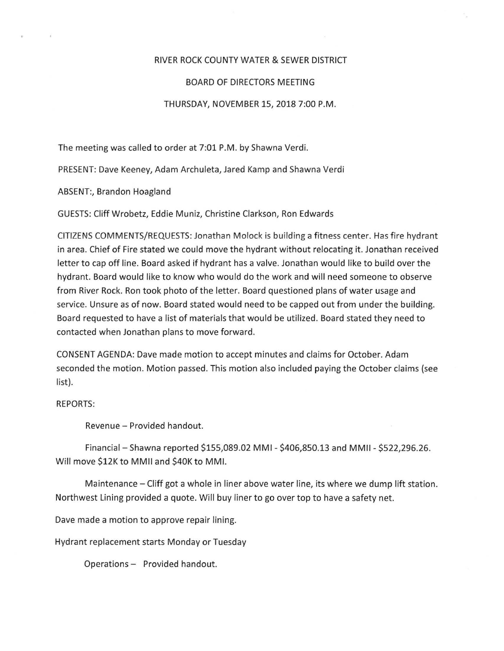## RIVER ROCK COUNTY WATER & SEWER DISTRICT

## BOARD OF DIRECTORS MEETING

## THURSDAY, NOVEMBER 15, 2018 7:00 P.M.

The meeting was called to order at 7:01 P.M. by Shawna Verdi.

PRESENT: Dave Keeney, Adam Archuleta, Jared Kamp and Shawna Verdi

ABSENT:, Brandon Hoagland

GUESTS: Cliff Wrobetz, Eddie Muniz, Christine Clarkson, Ron Edwards

CITIZENS COMMENTS/REQUESTS: Jonathan Molock is building a fitness center. Has fire hydrant in area. Chief of Fire stated we could move the hydrant without relocating it. Jonathan received letter to cap off line. Board asked if hydrant has a valve. Jonathan would like to build over the hydrant. Board would like to know who would do the work and will need someone to observe from River Rock. Ron took photo of the letter. Board questioned plans of water usage and service. Unsure as of now. Board stated would need to be capped out from under the building. Board requested to have a list of materials that would be utilized. Board stated they need to contacted when Jonathan plans to move forward.

CONSENT AGENDA: Dave made motion to accept minutes and claims for October. Adam seconded the motion. Motion passed. This motion also included paying the October claims (see list).

## REPORTS:

Revenue - Provided handout.

Financial - Shawna reported \$155,089.02 MMI - \$406,850.13 and MMII - \$522,296.26. Will move \$12K to MMII and \$40K to MMI.

Maintenance- Cliff got a whole in liner above water line, its where we dump lift station. Northwest Lining provided a quote. Will buy liner to go over top to have a safety net.

Dave made a motion to approve repair lining.

Hydrant replacement starts Monday or Tuesday

Operations- Provided handout.